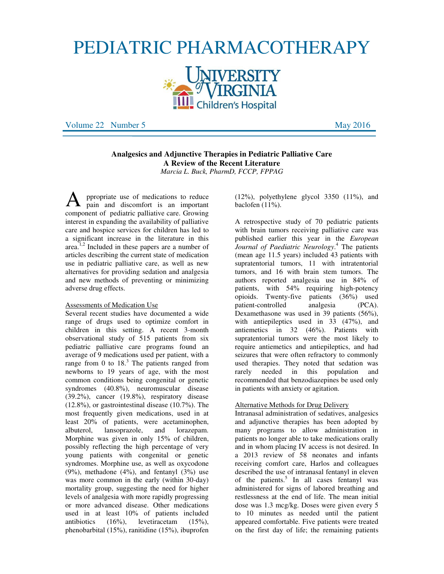# PEDIATRIC PHARMACOTHERAPY



Volume 22 Number 5 May 2016

# **Analgesics and Adjunctive Therapies in Pediatric Palliative Care A Review of the Recent Literature**  *Marcia L. Buck, PharmD, FCCP, FPPAG*

ppropriate use of medications to reduce pain and discomfort is an important **A** ppropriate use of medications to reduce<br>component of pediatric palliative care. Growing interest in expanding the availability of palliative care and hospice services for children has led to a significant increase in the literature in this area. $^{1,2}$  Included in these papers are a number of articles describing the current state of medication use in pediatric palliative care, as well as new alternatives for providing sedation and analgesia and new methods of preventing or minimizing adverse drug effects.

#### Assessments of Medication Use

Several recent studies have documented a wide range of drugs used to optimize comfort in children in this setting. A recent 3-month observational study of 515 patients from six pediatric palliative care programs found an average of 9 medications used per patient, with a range from 0 to  $18<sup>3</sup>$ . The patients ranged from newborns to 19 years of age, with the most common conditions being congenital or genetic syndromes (40.8%), neuromuscular disease (39.2%), cancer (19.8%), respiratory disease (12.8%), or gastrointestinal disease (10.7%). The most frequently given medications, used in at least 20% of patients, were acetaminophen, albuterol, lansoprazole, and lorazepam. Morphine was given in only 15% of children, possibly reflecting the high percentage of very young patients with congenital or genetic syndromes. Morphine use, as well as oxycodone  $(9\%)$ , methadone  $(4\%)$ , and fentanyl  $(3\%)$  use was more common in the early (within 30-day) mortality group, suggesting the need for higher levels of analgesia with more rapidly progressing or more advanced disease. Other medications used in at least  $10\%$  of patients included<br>antibiotics  $(16\%)$ , levetiracetam  $(15\%)$ .  $(16\%)$ , levetiracetam  $(15\%)$ , phenobarbital (15%), ranitidine (15%), ibuprofen

 $(12\%)$ , polyethylene glycol 3350  $(11\%)$ , and baclofen (11%).

A retrospective study of 70 pediatric patients with brain tumors receiving palliative care was published earlier this year in the *European Journal of Paediatric Neurology*. 4 The patients (mean age 11.5 years) included 43 patients with supratentorial tumors, 11 with intratentorial tumors, and 16 with brain stem tumors. The authors reported analgesia use in 84% of patients, with 54% requiring high-potency opioids. Twenty-five patients (36%) used patient-controlled analgesia (PCA). Dexamethasone was used in 39 patients (56%), with antiepileptics used in 33 (47%), and antiemetics in 32 (46%). Patients with supratentorial tumors were the most likely to require antiemetics and antiepileptics, and had seizures that were often refractory to commonly used therapies. They noted that sedation was rarely needed in this population and recommended that benzodiazepines be used only in patients with anxiety or agitation.

#### Alternative Methods for Drug Delivery

Intranasal administration of sedatives, analgesics and adjunctive therapies has been adopted by many programs to allow administration in patients no longer able to take medications orally and in whom placing IV access is not desired. In a 2013 review of 58 neonates and infants receiving comfort care, Harlos and colleagues described the use of intranasal fentanyl in eleven of the patients.<sup>5</sup> In all cases fentanyl was administered for signs of labored breathing and restlessness at the end of life. The mean initial dose was 1.3 mcg/kg. Doses were given every 5 to 10 minutes as needed until the patient appeared comfortable. Five patients were treated on the first day of life; the remaining patients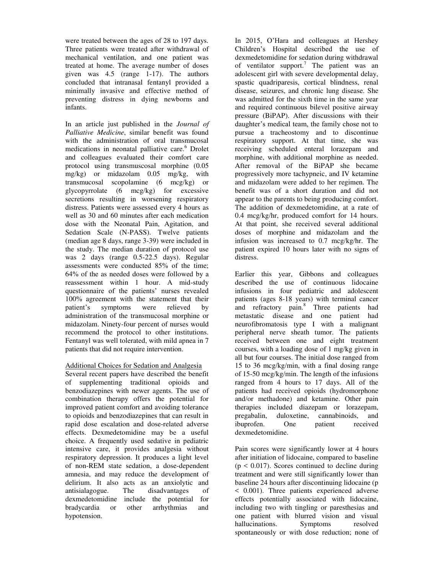were treated between the ages of 28 to 197 days. Three patients were treated after withdrawal of mechanical ventilation, and one patient was treated at home. The average number of doses given was 4.5 (range 1-17). The authors concluded that intranasal fentanyl provided a minimally invasive and effective method of preventing distress in dying newborns and infants.

In an article just published in the *Journal of Palliative Medicine*, similar benefit was found with the administration of oral transmucosal medications in neonatal palliative care.<sup>6</sup> Drolet and colleagues evaluated their comfort care protocol using transmuscosal morphine (0.05 mg/kg) or midazolam 0.05 mg/kg, with transmucosal scopolamine (6 mcg/kg) or glycopyrrolate (6 mcg/kg) for excessive secretions resulting in worsening respiratory distress. Patients were assessed every 4 hours as well as 30 and 60 minutes after each medication dose with the Neonatal Pain, Agitation, and Sedation Scale (N-PASS). Twelve patients (median age 8 days, range 3-39) were included in the study. The median duration of protocol use was 2 days (range 0.5-22.5 days). Regular assessments were conducted 85% of the time; 64% of the as needed doses were followed by a reassessment within 1 hour. A mid-study questionnaire of the patients' nurses revealed 100% agreement with the statement that their patient's symptoms were relieved by administration of the transmucosal morphine or midazolam. Ninety-four percent of nurses would recommend the protocol to other institutions. Fentanyl was well tolerated, with mild apnea in 7 patients that did not require intervention.

# Additional Choices for Sedation and Analgesia

Several recent papers have described the benefit of supplementing traditional opioids and benzodiazepines with newer agents. The use of combination therapy offers the potential for improved patient comfort and avoiding tolerance to opioids and benzodiazepines that can result in rapid dose escalation and dose-related adverse effects. Dexmedetomidine may be a useful choice. A frequently used sedative in pediatric intensive care, it provides analgesia without respiratory depression. It produces a light level of non-REM state sedation, a dose-dependent amnesia, and may reduce the development of delirium. It also acts as an anxiolytic and antisialagogue. The disadvantages of antisialagogue. dexmedetomidine include the potential for bradycardia or other arrhythmias and hypotension.

In 2015, O'Hara and colleagues at Hershey Children's Hospital described the use of dexmedetomidine for sedation during withdrawal of ventilator support.<sup>7</sup> The patient was an adolescent girl with severe developmental delay, spastic quadriparesis, cortical blindness, renal disease, seizures, and chronic lung disease. She was admitted for the sixth time in the same year and required continuous bilevel positive airway pressure (BiPAP). After discussions with their daughter's medical team, the family chose not to pursue a tracheostomy and to discontinue respiratory support. At that time, she was receiving scheduled enteral lorazepam and morphine, with additional morphine as needed. After removal of the BiPAP she became progressively more tachypneic, and IV ketamine and midazolam were added to her regimen. The benefit was of a short duration and did not appear to the parents to being producing comfort. The addition of dexmedetomidine, at a rate of 0.4 mcg/kg/hr, produced comfort for 14 hours. At that point, she received several additional doses of morphine and midazolam and the infusion was increased to 0.7 mcg/kg/hr. The patient expired 10 hours later with no signs of distress.

Earlier this year, Gibbons and colleagues described the use of continuous lidocaine infusions in four pediatric and adolescent patients (ages 8-18 years) with terminal cancer and refractory pain.<sup>8</sup> Three patients had metastatic disease and one patient had neurofibromatosis type I with a malignant peripheral nerve sheath tumor. The patients received between one and eight treatment courses, with a loading dose of 1 mg/kg given in all but four courses. The initial dose ranged from 15 to 36 mcg/kg/min, with a final dosing range of 15-50 mcg/kg/min. The length of the infusions ranged from 4 hours to 17 days. All of the patients had received opioids (hydromorphone and/or methadone) and ketamine. Other pain therapies included diazepam or lorazepam,<br>pregabalin, duloxetine, cannabinoids, and cannabinoids, and ibuprofen. One patient received dexmedetomidine.

Pain scores were significantly lower at 4 hours after initiation of lidocaine, compared to baseline  $(p < 0.017)$ . Scores continued to decline during treatment and were still significantly lower than baseline 24 hours after discontinuing lidocaine (p < 0.001). Three patients experienced adverse effects potentially associated with lidocaine, including two with tingling or paresthesias and one patient with blurred vision and visual hallucinations. Symptoms resolved spontaneously or with dose reduction; none of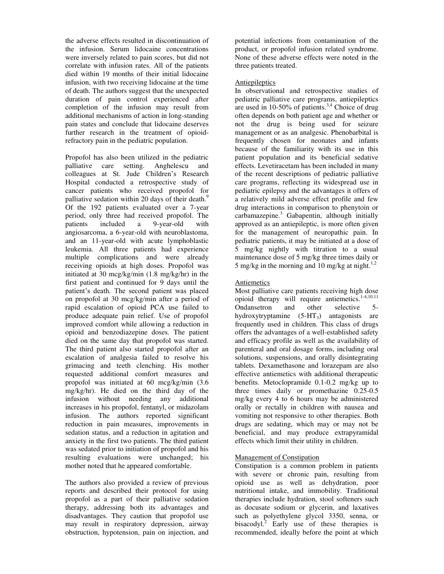the adverse effects resulted in discontinuation of the infusion. Serum lidocaine concentrations were inversely related to pain scores, but did not correlate with infusion rates. All of the patients died within 19 months of their initial lidocaine infusion, with two receiving lidocaine at the time of death. The authors suggest that the unexpected duration of pain control experienced after completion of the infusion may result from additional mechanisms of action in long-standing pain states and conclude that lidocaine deserves further research in the treatment of opioidrefractory pain in the pediatric population.

Propofol has also been utilized in the pediatric palliative care setting. Anghelescu and colleagues at St. Jude Children's Research Hospital conducted a retrospective study of cancer patients who received propofol for palliative sedation within 20 days of their death.<sup>9</sup> Of the 192 patients evaluated over a 7-year period, only three had received propofol. The patients included a 9-year-old with angiosarcoma, a 6-year-old with neuroblastoma, and an 11-year-old with acute lymphoblastic leukemia. All three patients had experience multiple complications and were already receiving opioids at high doses. Propofol was initiated at 30 mcg/kg/min (1.8 mg/kg/hr) in the first patient and continued for 9 days until the patient's death. The second patient was placed on propofol at 30 mcg/kg/min after a period of rapid escalation of opioid PCA use failed to produce adequate pain relief. Use of propofol improved comfort while allowing a reduction in opioid and benzodiazepine doses. The patient died on the same day that propofol was started. The third patient also started propofol after an escalation of analgesia failed to resolve his grimacing and teeth clenching. His mother requested additional comfort measures and propofol was initiated at 60 mcg/kg/min (3.6 mg/kg/hr). He died on the third day of the infusion without needing any additional increases in his propofol, fentanyl, or midazolam infusion. The authors reported significant reduction in pain measures, improvements in sedation status, and a reduction in agitation and anxiety in the first two patients. The third patient was sedated prior to initiation of propofol and his resulting evaluations were unchanged; his mother noted that he appeared comfortable.

The authors also provided a review of previous reports and described their protocol for using propofol as a part of their palliative sedation therapy, addressing both its advantages and disadvantages. They caution that propofol use may result in respiratory depression, airway obstruction, hypotension, pain on injection, and potential infections from contamination of the product, or propofol infusion related syndrome. None of these adverse effects were noted in the three patients treated.

### Antiepileptics

In observational and retrospective studies of pediatric palliative care programs, antiepileptics are used in 10-50% of patients.<sup>3,4</sup> Choice of drug often depends on both patient age and whether or not the drug is being used for seizure management or as an analgesic. Phenobarbital is frequently chosen for neonates and infants because of the familiarity with its use in this patient population and its beneficial sedative effects. Levetiracetam has been included in many of the recent descriptions of pediatric palliative care programs, reflecting its widespread use in pediatric epilepsy and the advantages it offers of a relatively mild adverse effect profile and few drug interactions in comparison to phenytoin or carbamazepine.<sup>3</sup> Gabapentin, although initially approved as an antiepileptic, is more often given for the management of neuropathic pain. In pediatric patients, it may be initiated at a dose of 5 mg/kg nightly with titration to a usual maintenance dose of 5 mg/kg three times daily or 5 mg/kg in the morning and 10 mg/kg at night.<sup>1,2</sup>

# Antiemetics

Most palliative care patients receiving high dose opioid therapy will require antiemetics.1-4,10,11 Ondansetron and other selective 5 hydroxytryptamine  $(5-HT_3)$  antagonists are frequently used in children. This class of drugs offers the advantages of a well-established safety and efficacy profile as well as the availability of parenteral and oral dosage forms, including oral solutions, suspensions, and orally disintegrating tablets. Dexamethasone and lorazepam are also effective antiemetics with additional therapeutic benefits. Metoclopramide 0.1-0.2 mg/kg up to three times daily or promethazine 0.25-0.5 mg/kg every 4 to 6 hours may be administered orally or rectally in children with nausea and vomiting not responsive to other therapies. Both drugs are sedating, which may or may not be beneficial, and may produce extrapyramidal effects which limit their utility in children.

# Management of Constipation

Constipation is a common problem in patients with severe or chronic pain, resulting from opioid use as well as dehydration, poor nutritional intake, and immobility. Traditional therapies include hydration, stool softeners such as docusate sodium or glycerin, and laxatives such as polyethylene glycol 3350, senna, or bisacodyl.<sup>2</sup> Early use of these therapies is recommended, ideally before the point at which